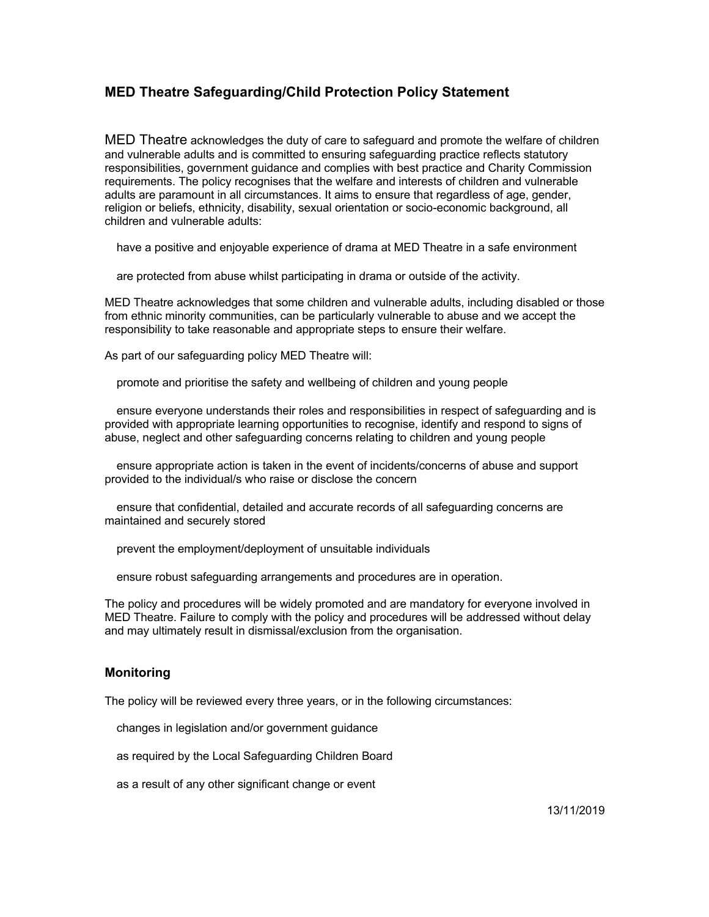### **MED Theatre Safeguarding/Child Protection Policy Statement**

MED Theatre acknowledges the duty of care to safeguard and promote the welfare of children and vulnerable adults and is committed to ensuring safeguarding practice reflects statutory responsibilities, government guidance and complies with best practice and Charity Commission requirements. The policy recognises that the welfare and interests of children and vulnerable adults are paramount in all circumstances. It aims to ensure that regardless of age, gender, religion or beliefs, ethnicity, disability, sexual orientation or socio-economic background, all children and vulnerable adults:

have a positive and enjoyable experience of drama at MED Theatre in a safe environment

are protected from abuse whilst participating in drama or outside of the activity.

MED Theatre acknowledges that some children and vulnerable adults, including disabled or those from ethnic minority communities, can be particularly vulnerable to abuse and we accept the responsibility to take reasonable and appropriate steps to ensure their welfare.

As part of our safeguarding policy MED Theatre will:

promote and prioritise the safety and wellbeing of children and young people

 ensure everyone understands their roles and responsibilities in respect of safeguarding and is provided with appropriate learning opportunities to recognise, identify and respond to signs of abuse, neglect and other safeguarding concerns relating to children and young people

 ensure appropriate action is taken in the event of incidents/concerns of abuse and support provided to the individual/s who raise or disclose the concern

 ensure that confidential, detailed and accurate records of all safeguarding concerns are maintained and securely stored

prevent the employment/deployment of unsuitable individuals

ensure robust safeguarding arrangements and procedures are in operation.

The policy and procedures will be widely promoted and are mandatory for everyone involved in MED Theatre. Failure to comply with the policy and procedures will be addressed without delay and may ultimately result in dismissal/exclusion from the organisation.

#### **Monitoring**

The policy will be reviewed every three years, or in the following circumstances:

changes in legislation and/or government guidance

as required by the Local Safeguarding Children Board

as a result of any other significant change or event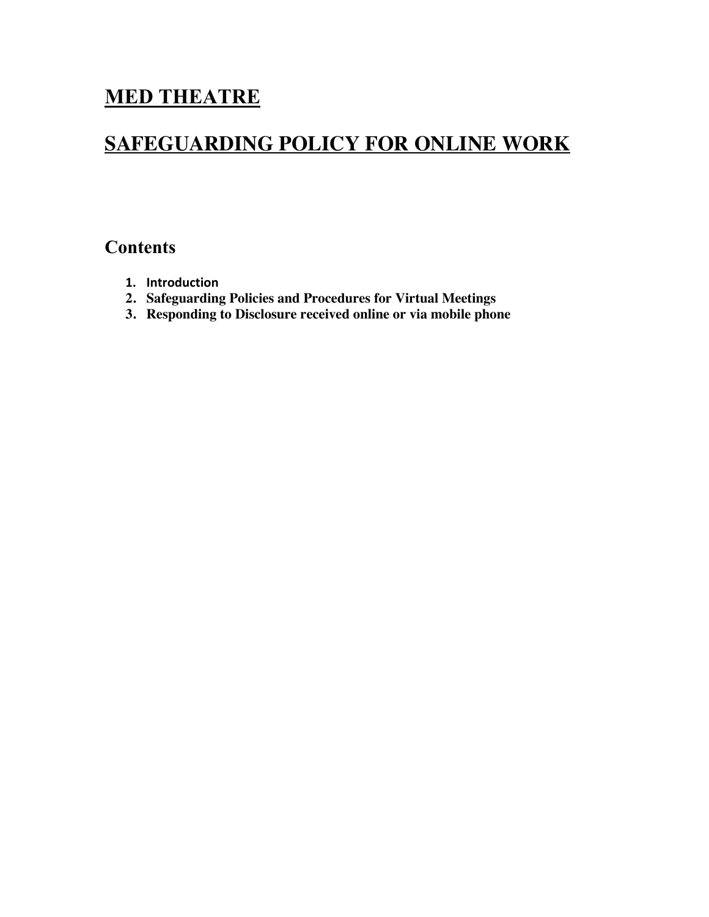# **MED THEATRE**

# **SAFEGUARDING POLICY FOR ONLINE WORK**

## **Contents**

- **1. Introduction**
- **2. Safeguarding Policies and Procedures for Virtual Meetings**
- **3. Responding to Disclosure received online or via mobile phone**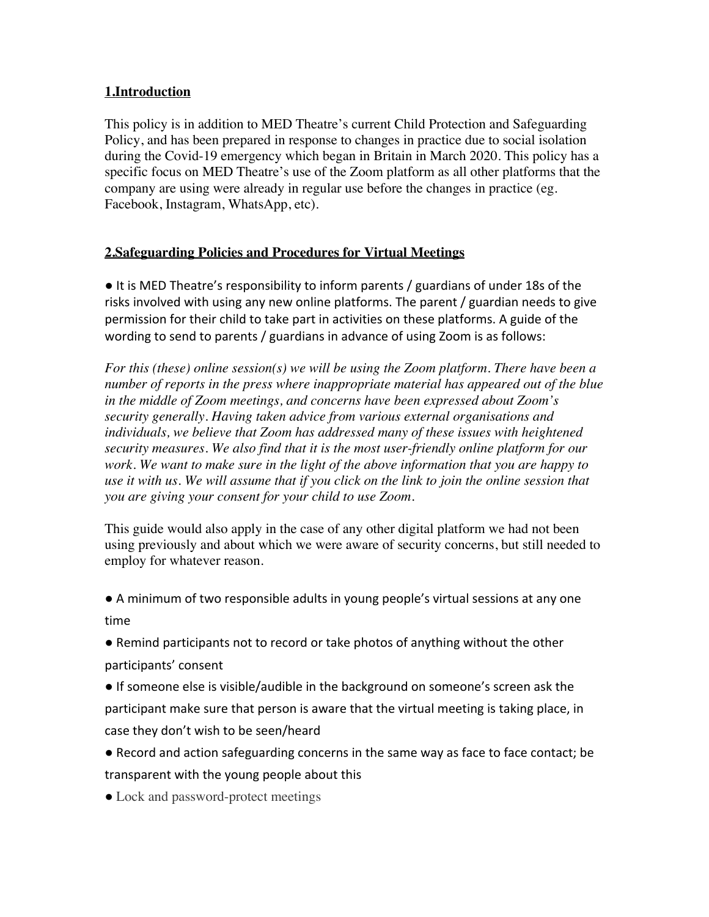## **1.Introduction**

This policy is in addition to MED Theatre's current Child Protection and Safeguarding Policy, and has been prepared in response to changes in practice due to social isolation during the Covid-19 emergency which began in Britain in March 2020. This policy has a specific focus on MED Theatre's use of the Zoom platform as all other platforms that the company are using were already in regular use before the changes in practice (eg. Facebook, Instagram, WhatsApp, etc).

## **2.Safeguarding Policies and Procedures for Virtual Meetings**

● It is MED Theatre's responsibility to inform parents / guardians of under 18s of the risks involved with using any new online platforms. The parent / guardian needs to give permission for their child to take part in activities on these platforms. A guide of the wording to send to parents / guardians in advance of using Zoom is as follows:

*For this (these) online session(s) we will be using the Zoom platform. There have been a number of reports in the press where inappropriate material has appeared out of the blue in the middle of Zoom meetings, and concerns have been expressed about Zoom's security generally. Having taken advice from various external organisations and individuals, we believe that Zoom has addressed many of these issues with heightened security measures. We also find that it is the most user-friendly online platform for our work. We want to make sure in the light of the above information that you are happy to use it with us. We will assume that if you click on the link to join the online session that you are giving your consent for your child to use Zoom.*

This guide would also apply in the case of any other digital platform we had not been using previously and about which we were aware of security concerns, but still needed to employ for whatever reason.

● A minimum of two responsible adults in young people's virtual sessions at any one time

● Remind participants not to record or take photos of anything without the other participants' consent

● If someone else is visible/audible in the background on someone's screen ask the participant make sure that person is aware that the virtual meeting is taking place, in case they don't wish to be seen/heard

● Record and action safeguarding concerns in the same way as face to face contact; be transparent with the young people about this

• Lock and password-protect meetings